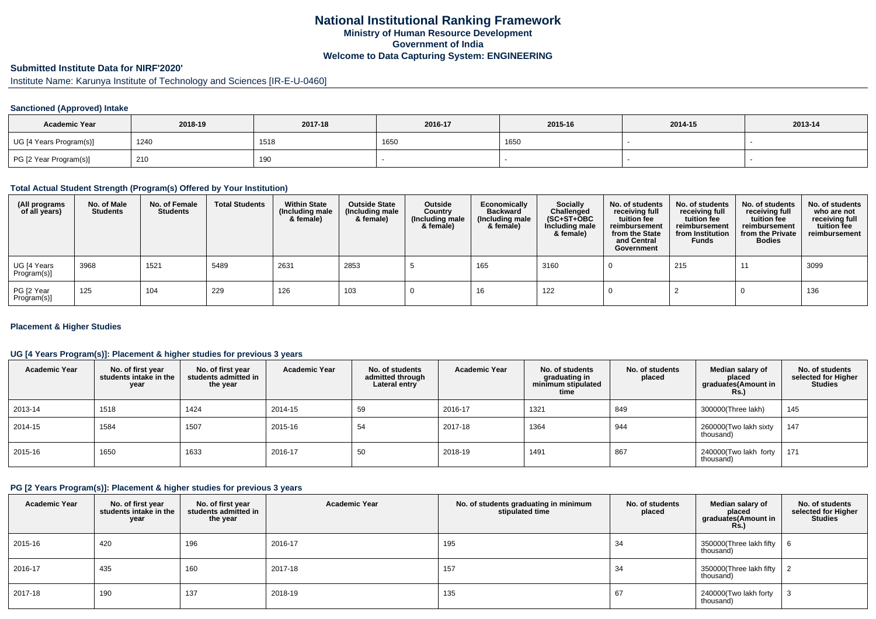# **Submitted Institute Data for NIRF'2020'**

Institute Name: Karunya Institute of Technology and Sciences [IR-E-U-0460]

## **Sanctioned (Approved) Intake**

| <b>Academic Year</b>    | 2018-19 | 2017-18 | 2016-17 | 2015-16 | 2014-15 | 2013-14 |
|-------------------------|---------|---------|---------|---------|---------|---------|
| UG [4 Years Program(s)] | 1240    | 1518    | 1650    | 1650    |         |         |
| PG [2 Year Program(s)]  | 210     | 190     |         |         |         |         |

### **Total Actual Student Strength (Program(s) Offered by Your Institution)**

| (All programs<br>of all years) | No. of Male<br><b>Students</b> | No. of Female<br>Students | <b>Total Students</b> | <b>Within State</b><br>(Including male<br>& female) | <b>Outside State</b><br>(Including male<br>& female) | Outside<br>Country<br>(Including male<br>& female) | Economically<br><b>Backward</b><br>(Including male<br>& female) | Socially<br>Challenged<br>$(SC+ST+OBC)$<br>Including male<br>& female) | No. of students<br>receiving full<br>tuition fee<br>reimbursement<br>from the State<br>and Central<br>Government | No. of students<br>receiving full<br>tuition fee<br>reimbursement<br>from Institution<br><b>Funds</b> | No. of students<br>receiving full<br>tuition fee<br>reimbursement<br>from the Private<br><b>Bodies</b> | No. of students<br>who are not<br>receiving full<br>tuition fee<br>reimbursement |
|--------------------------------|--------------------------------|---------------------------|-----------------------|-----------------------------------------------------|------------------------------------------------------|----------------------------------------------------|-----------------------------------------------------------------|------------------------------------------------------------------------|------------------------------------------------------------------------------------------------------------------|-------------------------------------------------------------------------------------------------------|--------------------------------------------------------------------------------------------------------|----------------------------------------------------------------------------------|
| UG [4 Years<br>Program(s)]     | 3968                           | 1521                      | 5489                  | 2631                                                | 2853                                                 |                                                    | 165                                                             | 3160                                                                   |                                                                                                                  | 215                                                                                                   |                                                                                                        | 3099                                                                             |
| PG [2 Year<br>Program(s)]      | 125                            | 104                       | 229                   | 126                                                 | 103                                                  |                                                    | 16                                                              | 122                                                                    |                                                                                                                  |                                                                                                       |                                                                                                        | 136                                                                              |

### **Placement & Higher Studies**

### **UG [4 Years Program(s)]: Placement & higher studies for previous 3 years**

| <b>Academic Year</b> | No. of first year<br>students intake in the<br>year | No. of first vear<br>students admitted in<br>the year | <b>Academic Year</b> | No. of students<br>admitted through<br>Lateral entry | <b>Academic Year</b> | No. of students<br>graduating in<br>minimum stipulated<br>time | No. of students<br>placed | Median salary of<br>placed<br>graduates(Amount in<br>Rs. | No. of students<br>selected for Higher<br><b>Studies</b> |
|----------------------|-----------------------------------------------------|-------------------------------------------------------|----------------------|------------------------------------------------------|----------------------|----------------------------------------------------------------|---------------------------|----------------------------------------------------------|----------------------------------------------------------|
| 2013-14              | 1518                                                | 1424                                                  | 2014-15              | 59                                                   | 2016-17              | 1321                                                           | 849                       | 300000(Three lakh)                                       | 145                                                      |
| 2014-15              | 1584                                                | 1507                                                  | 2015-16              | 54                                                   | 2017-18              | 1364                                                           | 944                       | 260000(Two lakh sixty<br>thousand)                       | 147                                                      |
| 2015-16              | 1650                                                | 1633                                                  | 2016-17              | 50                                                   | 2018-19              | 1491                                                           | 867                       | 240000(Two lakh forty<br>thousand)                       | 171                                                      |

## **PG [2 Years Program(s)]: Placement & higher studies for previous 3 years**

| <b>Academic Year</b> | No. of first year<br>students intake in the<br>year | No. of first vear<br>students admitted in<br>the year | <b>Academic Year</b> | No. of students graduating in minimum<br>stipulated time | No. of students<br>placed | Median salary of<br>placed<br>graduates(Amount in<br>Rs.) | No. of students<br>selected for Higher<br><b>Studies</b> |
|----------------------|-----------------------------------------------------|-------------------------------------------------------|----------------------|----------------------------------------------------------|---------------------------|-----------------------------------------------------------|----------------------------------------------------------|
| 2015-16              | 420                                                 | 196                                                   | 2016-17              | 195                                                      | 34                        | 350000(Three lakh fifty $\vert 6$<br>thousand)            |                                                          |
| 2016-17              | 435                                                 | 160                                                   | 2017-18              | 157                                                      | 34                        | 350000(Three lakh fifty $\vert$ 2<br>thousand)            |                                                          |
| 2017-18              | 190                                                 | 137                                                   | 2018-19              | 135                                                      | 67                        | 240000(Two lakh forty<br>thousand)                        |                                                          |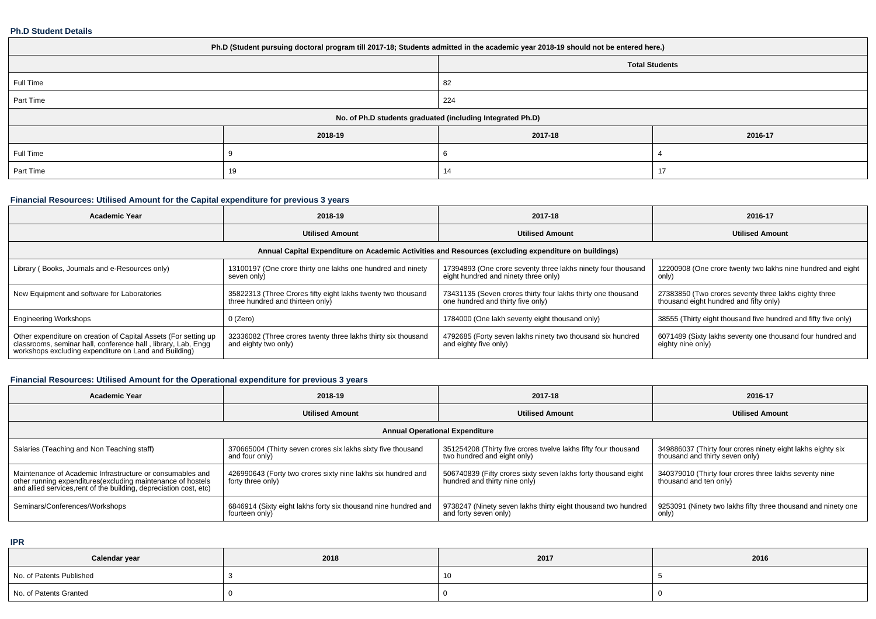### **Ph.D Student Details**

| Ph.D (Student pursuing doctoral program till 2017-18; Students admitted in the academic year 2018-19 should not be entered here.) |         |         |         |  |  |  |  |
|-----------------------------------------------------------------------------------------------------------------------------------|---------|---------|---------|--|--|--|--|
| <b>Total Students</b>                                                                                                             |         |         |         |  |  |  |  |
| Full Time                                                                                                                         |         | 82      |         |  |  |  |  |
| Part Time                                                                                                                         | 224     |         |         |  |  |  |  |
| No. of Ph.D students graduated (including Integrated Ph.D)                                                                        |         |         |         |  |  |  |  |
|                                                                                                                                   | 2018-19 | 2017-18 | 2016-17 |  |  |  |  |
| Full Time                                                                                                                         |         |         |         |  |  |  |  |
| Part Time                                                                                                                         | 19      | 14      | 17      |  |  |  |  |

# **Financial Resources: Utilised Amount for the Capital expenditure for previous 3 years**

| <b>Academic Year</b>                                                                                                                                                                   | 2018-19                                                                                          | 2017-18                                                                                              | 2016-17                                                                                         |  |  |  |  |  |  |
|----------------------------------------------------------------------------------------------------------------------------------------------------------------------------------------|--------------------------------------------------------------------------------------------------|------------------------------------------------------------------------------------------------------|-------------------------------------------------------------------------------------------------|--|--|--|--|--|--|
|                                                                                                                                                                                        | <b>Utilised Amount</b>                                                                           | <b>Utilised Amount</b>                                                                               | <b>Utilised Amount</b>                                                                          |  |  |  |  |  |  |
| Annual Capital Expenditure on Academic Activities and Resources (excluding expenditure on buildings)                                                                                   |                                                                                                  |                                                                                                      |                                                                                                 |  |  |  |  |  |  |
| Library (Books, Journals and e-Resources only)                                                                                                                                         | 13100197 (One crore thirty one lakhs one hundred and ninety<br>seven only)                       | 17394893 (One crore seventy three lakhs ninety four thousand<br>eight hundred and ninety three only) | 12200908 (One crore twenty two lakhs nine hundred and eight<br>only)                            |  |  |  |  |  |  |
| New Equipment and software for Laboratories                                                                                                                                            | 35822313 (Three Crores fifty eight lakhs twenty two thousand<br>three hundred and thirteen only) | 73431135 (Seven crores thirty four lakhs thirty one thousand<br>one hundred and thirty five only)    | 27383850 (Two crores seventy three lakhs eighty three<br>thousand eight hundred and fifty only) |  |  |  |  |  |  |
| <b>Engineering Workshops</b>                                                                                                                                                           | 0 (Zero)                                                                                         | 1784000 (One lakh seventy eight thousand only)                                                       | 38555 (Thirty eight thousand five hundred and fifty five only)                                  |  |  |  |  |  |  |
| Other expenditure on creation of Capital Assets (For setting up classrooms, seminar hall, conference hall, library, Lab, Engg<br>workshops excluding expenditure on Land and Building) | 32336082 (Three crores twenty three lakhs thirty six thousand<br>and eighty two only)            | 4792685 (Forty seven lakhs ninety two thousand six hundred<br>and eighty five only)                  | 6071489 (Sixty lakhs seventy one thousand four hundred and<br>eighty nine only)                 |  |  |  |  |  |  |

# **Financial Resources: Utilised Amount for the Operational expenditure for previous 3 years**

| <b>Academic Year</b>                                                                                                                                                                            | 2018-19                                                                           | 2017-18                                                                                         | 2016-17                                                                                        |  |  |  |  |  |  |
|-------------------------------------------------------------------------------------------------------------------------------------------------------------------------------------------------|-----------------------------------------------------------------------------------|-------------------------------------------------------------------------------------------------|------------------------------------------------------------------------------------------------|--|--|--|--|--|--|
|                                                                                                                                                                                                 | <b>Utilised Amount</b>                                                            | <b>Utilised Amount</b>                                                                          | <b>Utilised Amount</b>                                                                         |  |  |  |  |  |  |
| <b>Annual Operational Expenditure</b>                                                                                                                                                           |                                                                                   |                                                                                                 |                                                                                                |  |  |  |  |  |  |
| Salaries (Teaching and Non Teaching staff)                                                                                                                                                      | 370665004 (Thirty seven crores six lakhs sixty five thousand<br>and four only)    | 351254208 (Thirty five crores twelve lakhs fifty four thousand<br>two hundred and eight only)   | 349886037 (Thirty four crores ninety eight lakhs eighty six<br>thousand and thirty seven only) |  |  |  |  |  |  |
| Maintenance of Academic Infrastructure or consumables and<br>other running expenditures (excluding maintenance of hostels<br>and allied services, rent of the building, depreciation cost, etc) | 426990643 (Forty two crores sixty nine lakhs six hundred and<br>forty three only) | 506740839 (Fifty crores sixty seven lakhs forty thousand eight<br>hundred and thirty nine only) | 340379010 (Thirty four crores three lakhs seventy nine<br>thousand and ten only)               |  |  |  |  |  |  |
| Seminars/Conferences/Workshops                                                                                                                                                                  | 6846914 (Sixty eight lakhs forty six thousand nine hundred and<br>fourteen only)  | 9738247 (Ninety seven lakhs thirty eight thousand two hundred<br>and forty seven only)          | 9253091 (Ninety two lakhs fifty three thousand and ninety one<br>only)                         |  |  |  |  |  |  |

**IPR**

| Calendar year            | 2018 | 2017 | 2016 |
|--------------------------|------|------|------|
| No. of Patents Published |      |      |      |
| No. of Patents Granted   |      |      |      |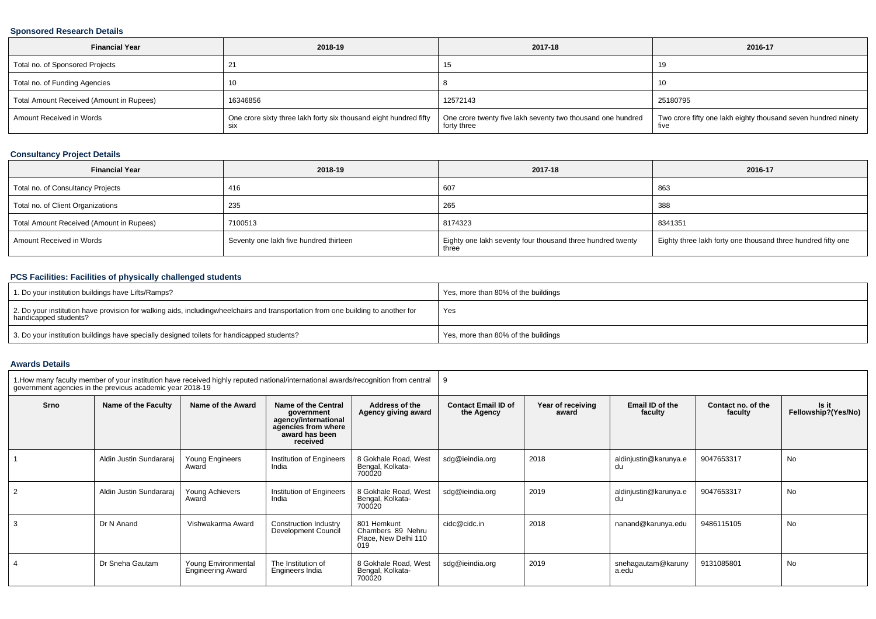#### **Sponsored Research Details**

| <b>Financial Year</b>                    | 2018-19                                                                  | 2017-18                                                                    | 2016-17                                                               |
|------------------------------------------|--------------------------------------------------------------------------|----------------------------------------------------------------------------|-----------------------------------------------------------------------|
| Total no. of Sponsored Projects          |                                                                          | 15                                                                         |                                                                       |
| Total no. of Funding Agencies            |                                                                          |                                                                            |                                                                       |
| Total Amount Received (Amount in Rupees) | 16346856                                                                 | 12572143                                                                   | 25180795                                                              |
| Amount Received in Words                 | One crore sixty three lakh forty six thousand eight hundred fifty<br>SIX | One crore twenty five lakh seventy two thousand one hundred<br>forty three | Two crore fifty one lakh eighty thousand seven hundred ninety<br>five |

## **Consultancy Project Details**

| <b>Financial Year</b>                    | 2018-19                                | 2017-18                                                             | 2016-17                                                      |
|------------------------------------------|----------------------------------------|---------------------------------------------------------------------|--------------------------------------------------------------|
| Total no. of Consultancy Projects        | 416                                    | 607                                                                 | 863                                                          |
| Total no. of Client Organizations        | 235                                    | 265                                                                 | 388                                                          |
| Total Amount Received (Amount in Rupees) | 7100513                                | 8174323                                                             | 8341351                                                      |
| Amount Received in Words                 | Seventy one lakh five hundred thirteen | Eighty one lakh seventy four thousand three hundred twenty<br>three | Eighty three lakh forty one thousand three hundred fifty one |

## **PCS Facilities: Facilities of physically challenged students**

| 1. Do your institution buildings have Lifts/Ramps?                                                                                                        | Yes, more than 80% of the buildings |
|-----------------------------------------------------------------------------------------------------------------------------------------------------------|-------------------------------------|
| 2. Do your institution have provision for walking aids, includingwheelchairs and transportation from one building to another for<br>handicapped students? | Yes                                 |
| 3. Do your institution buildings have specially designed toilets for handicapped students?                                                                | Yes, more than 80% of the buildings |

#### **Awards Details**

| 1. How many faculty member of your institution have received highly reputed national/international awards/recognition from central government agencies in the previous academic year 2018-19 |                         |                                                 |                                                                                                                |                                                                 |                                          |                            |                             |                               |                              |
|----------------------------------------------------------------------------------------------------------------------------------------------------------------------------------------------|-------------------------|-------------------------------------------------|----------------------------------------------------------------------------------------------------------------|-----------------------------------------------------------------|------------------------------------------|----------------------------|-----------------------------|-------------------------------|------------------------------|
| Srno                                                                                                                                                                                         | Name of the Faculty     | Name of the Award                               | Name of the Central<br>government<br>agency/international<br>agencies from where<br>award has been<br>received | Address of the<br>Agency giving award                           | <b>Contact Email ID of</b><br>the Agency | Year of receiving<br>award | Email ID of the<br>faculty  | Contact no. of the<br>faculty | Is it<br>Fellowship?(Yes/No) |
|                                                                                                                                                                                              | Aldin Justin Sundararaj | Young Engineers<br>Award                        | Institution of Engineers<br>India                                                                              | 8 Gokhale Road, West<br>Bengal, Kolkata-<br>700020              | sdg@ieindia.org                          | 2018                       | aldinjustin@karunya.e<br>du | 9047653317                    | <b>No</b>                    |
| 2                                                                                                                                                                                            | Aldin Justin Sundararaj | Young Achievers<br>Award                        | Institution of Engineers<br>India                                                                              | 8 Gokhale Road, West<br>Bengal, Kolkata-<br>700020              | sdg@ieindia.org                          | 2019                       | aldinjustin@karunya.e<br>du | 9047653317                    | <b>No</b>                    |
| 3                                                                                                                                                                                            | Dr N Anand              | Vishwakarma Award                               | Construction Industry<br>Development Council                                                                   | 801 Hemkunt<br>Chambers 89 Nehru<br>Place, New Delhi 110<br>019 | cidc@cidc.in                             | 2018                       | nanand@karunya.edu          | 9486115105                    | <b>No</b>                    |
|                                                                                                                                                                                              | Dr Sneha Gautam         | Young Environmental<br><b>Engineering Award</b> | The Institution of<br>Engineers India                                                                          | 8 Gokhale Road, West<br>Bengal, Kolkata-<br>700020              | sdg@ieindia.org                          | 2019                       | snehagautam@karuny<br>a.edu | 9131085801                    | <b>No</b>                    |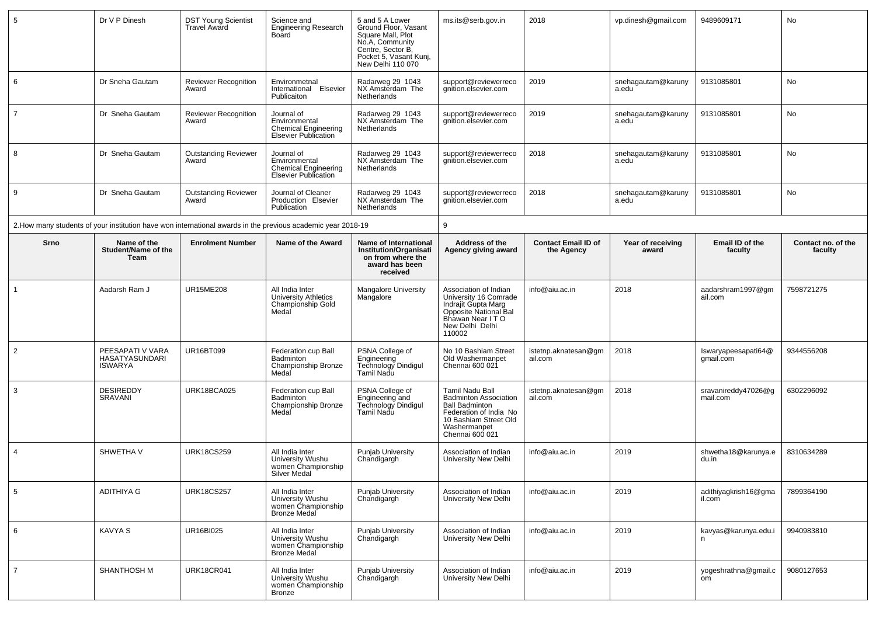| 5              | Dr V P Dinesh                                        | <b>DST Young Scientist</b><br>Travel Award | Science and<br><b>Engineering Research</b><br>Board                                                          | 5 and 5 A Lower<br>Ground Floor, Vasant<br>Square Mall, Plot<br>No.A. Community<br>Centre, Sector B,<br>Pocket 5, Vasant Kunj,<br>New Delhi 110 070 | ms.its@serb.gov.in                                                                                                                                             | 2018                                     | vp.dinesh@gmail.com         | 9489609171                       | No                            |
|----------------|------------------------------------------------------|--------------------------------------------|--------------------------------------------------------------------------------------------------------------|-----------------------------------------------------------------------------------------------------------------------------------------------------|----------------------------------------------------------------------------------------------------------------------------------------------------------------|------------------------------------------|-----------------------------|----------------------------------|-------------------------------|
| 6              | Dr Sneha Gautam                                      | Reviewer Recognition<br>Award              | Environmetnal<br>International Elsevier<br>Publicaiton                                                       | Radarweg 29 1043<br>NX Amsterdam The<br>Netherlands                                                                                                 | support@reviewerreco<br>gnition.elsevier.com                                                                                                                   | 2019                                     | snehagautam@karuny<br>a.edu | 9131085801                       | No                            |
| $\overline{7}$ | Dr Sneha Gautam                                      | <b>Reviewer Recognition</b><br>Award       | Journal of<br>Environmental<br><b>Chemical Engineering</b><br><b>Elsevier Publication</b>                    | Radarweg 29 1043<br>NX Amsterdam The<br>Netherlands                                                                                                 | support@reviewerreco<br>anition.elsevier.com                                                                                                                   | 2019                                     | snehagautam@karuny<br>a.edu | 9131085801                       | No                            |
| 8              | Dr Sneha Gautam                                      | <b>Outstanding Reviewer</b><br>Award       | Journal of<br>Environmental<br><b>Chemical Engineering</b><br><b>Elsevier Publication</b>                    | Radarweg 29 1043<br>NX Amsterdam The<br><b>Netherlands</b>                                                                                          | support@reviewerreco<br>qnition.elsevier.com                                                                                                                   | 2018                                     | snehagautam@karuny<br>a.edu | 9131085801                       | No                            |
| 9              | Dr Sneha Gautam                                      | <b>Outstanding Reviewer</b><br>Award       | Journal of Cleaner<br>Production Elsevier<br>Publication                                                     | Radarweg 29 1043<br>NX Amsterdam The<br>Netherlands                                                                                                 | support@reviewerreco<br>gnition.elsevier.com                                                                                                                   | 2018                                     | snehagautam@karuny<br>a.edu | 9131085801                       | No                            |
|                |                                                      |                                            | 2. How many students of your institution have won international awards in the previous academic year 2018-19 |                                                                                                                                                     | 9                                                                                                                                                              |                                          |                             |                                  |                               |
| Srno           | Name of the<br>Student/Name of the<br>Team           | <b>Enrolment Number</b>                    | Name of the Award                                                                                            | Name of International<br><b>Institution/Organisati</b><br>on from where the<br>award has been<br>received                                           | Address of the<br>Agency giving award                                                                                                                          | <b>Contact Email ID of</b><br>the Agency | Year of receiving<br>award  | Email ID of the<br>faculty       | Contact no. of the<br>faculty |
| $\overline{1}$ | Aadarsh Ram J                                        | <b>UR15ME208</b>                           | All India Inter<br><b>University Athletics</b><br>Championship Gold<br>Medal                                 | <b>Mangalore University</b><br>Mangalore                                                                                                            | Association of Indian<br>University 16 Comrade<br>Indrajit Gupta Marg<br>Opposite National Bal<br>Bhawan Near I T O<br>New Delhi Delhi<br>110002               | info@aiu.ac.in                           | 2018                        | aadarshram1997@gm<br>ail.com     | 7598721275                    |
| 2              | PEESAPATI V VARA<br>HASATYASUNDARI<br><b>ISWARYA</b> | UR16BT099                                  | Federation cup Ball<br>Badminton<br>Championship Bronze<br>Medal                                             | PSNA College of<br><b>Engineering</b><br>Technology Dindigul<br>Tamil Nadu                                                                          | No 10 Bashiam Street<br>Old Washermanpet<br>Chennai 600 021                                                                                                    | istetnp.aknatesan@gm<br>ail.com          | 2018                        | Iswaryapeesapati64@<br>qmail.com | 9344556208                    |
| 3              | <b>DESIREDDY</b><br>SRAVANI                          | URK18BCA025                                | Federation cup Ball<br><b>Badminton</b><br>Championship Bronze<br>Medal                                      | PSNA College of<br>Engineering and<br>Technology Dindigul<br>Tamil Nadu                                                                             | Tamil Nadu Ball<br><b>Badminton Association</b><br><b>Ball Badminton</b><br>Federation of India No<br>10 Bashiam Street Old<br>Washermanpet<br>Chennai 600 021 | istetnp.aknatesan@gm<br>ail.com          | 2018                        | sravanireddy47026@g<br>mail.com  | 6302296092                    |
| $\overline{4}$ | SHWETHA V                                            | <b>URK18CS259</b>                          | All India Inter<br>University Wushu<br>women Championship<br>Silver Medal                                    | Punjab University<br>Chandigargh                                                                                                                    | Association of Indian<br>University New Delhi                                                                                                                  | info@aiu.ac.in                           | 2019                        | shwetha18@karunya.e<br>du.in     | 8310634289                    |
| $\,$ 5 $\,$    | <b>ADITHIYA G</b>                                    | <b>URK18CS257</b>                          | All India Inter<br>University Wushu<br>women Championship<br>Bronze Medal                                    | Punjab University<br>Chandigargh                                                                                                                    | Association of Indian<br>University New Delhi                                                                                                                  | info@aiu.ac.in                           | 2019                        | adithiyagkrish16@gma<br>il.com   | 7899364190                    |
| 6              | <b>KAVYA S</b>                                       | UR16BI025                                  | All India Inter<br>University Wushu<br>women Championship<br>Bronze Medal                                    | Punjab University<br>Chandigargh                                                                                                                    | Association of Indian<br>University New Delhi                                                                                                                  | info@aiu.ac.in                           | 2019                        | kavyas@karunya.edu.i             | 9940983810                    |
| $\overline{7}$ | <b>SHANTHOSH M</b>                                   | <b>URK18CR041</b>                          | All India Inter<br>University Wushu<br>women Championship<br>Bronze                                          | Punjab University<br>Chandigargh                                                                                                                    | Association of Indian<br>University New Delhi                                                                                                                  | info@aiu.ac.in                           | 2019                        | yogeshrathna@gmail.c<br>om       | 9080127653                    |